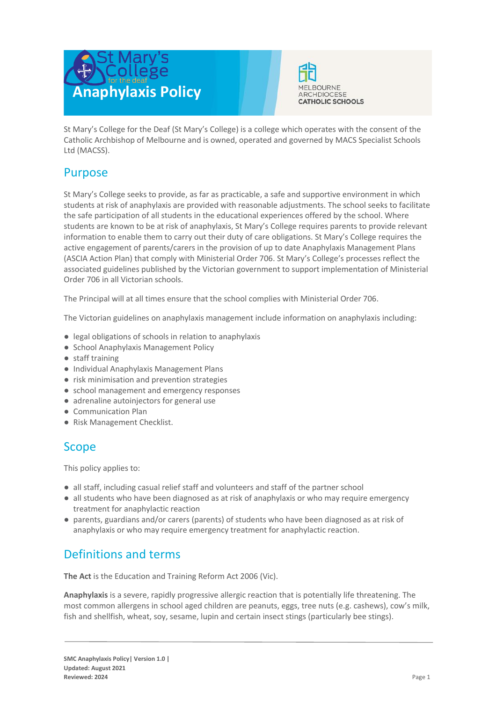



St Mary's College for the Deaf (St Mary's College) is a college which operates with the consent of the Catholic Archbishop of Melbourne and is owned, operated and governed by MACS Specialist Schools Ltd (MACSS).

## Purpose

St Mary's College seeks to provide, as far as practicable, a safe and supportive environment in which students at risk of anaphylaxis are provided with reasonable adjustments. The school seeks to facilitate the safe participation of all students in the educational experiences offered by the school. Where students are known to be at risk of anaphylaxis, St Mary's College requires parents to provide relevant information to enable them to carry out their duty of care obligations. St Mary's College requires the active engagement of parents/carers in the provision of up to date Anaphylaxis Management Plans (ASCIA Action Plan) that comply with Ministerial Order 706. St Mary's College's processes reflect the associated guidelines published by the Victorian government to support implementation of Ministerial Order 706 in all Victorian schools.

The Principal will at all times ensure that the school complies with Ministerial Order 706.

The Victorian guidelines on anaphylaxis management include information on anaphylaxis including:

- legal obligations of schools in relation to anaphylaxis
- School Anaphylaxis Management Policy
- staff training
- Individual Anaphylaxis Management Plans
- risk minimisation and prevention strategies
- school management and emergency responses
- adrenaline autoinjectors for general use
- Communication Plan
- Risk Management Checklist.

## Scope

This policy applies to:

- all staff, including casual relief staff and volunteers and staff of the partner school
- all students who have been diagnosed as at risk of anaphylaxis or who may require emergency treatment for anaphylactic reaction
- parents, guardians and/or carers (parents) of students who have been diagnosed as at risk of anaphylaxis or who may require emergency treatment for anaphylactic reaction.

# Definitions and terms

**The Act** is the Education and Training Reform Act 2006 (Vic).

**Anaphylaxis** is a severe, rapidly progressive allergic reaction that is potentially life threatening. The most common allergens in school aged children are peanuts, eggs, tree nuts (e.g. cashews), cow's milk, fish and shellfish, wheat, soy, sesame, lupin and certain insect stings (particularly bee stings).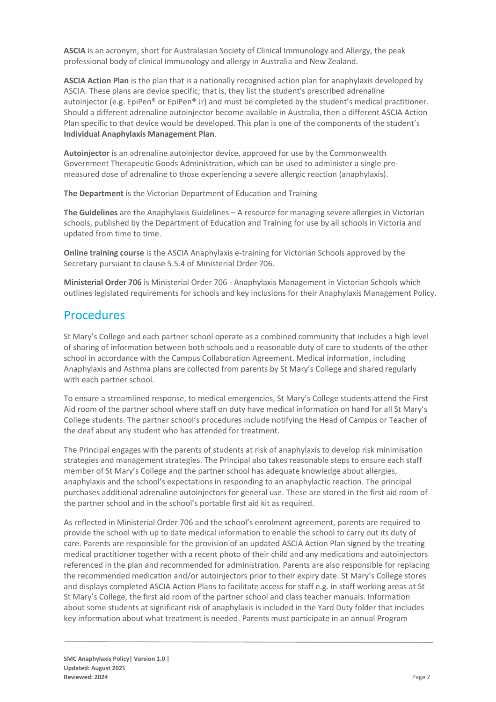**ASCIA** is an acronym, short for Australasian Society of Clinical Immunology and Allergy, the peak professional body of clinical immunology and allergy in Australia and New Zealand.

**ASCIA Action Plan** is the plan that is a nationally recognised action plan for anaphylaxis developed by ASCIA. These plans are device specific; that is, they list the student's prescribed adrenaline autoinjector (e.g. EpiPen® or EpiPen® Jr) and must be completed by the student's medical practitioner. Should a different adrenaline autoinjector become available in Australia, then a different ASCIA Action Plan specific to that device would be developed. This plan is one of the components of the student's **Individual Anaphylaxis Management Plan**.

**Autoinjector** is an adrenaline autoinjector device, approved for use by the Commonwealth Government Therapeutic Goods Administration, which can be used to administer a single premeasured dose of adrenaline to those experiencing a severe allergic reaction (anaphylaxis).

**The Department** is the Victorian Department of Education and Training

**The Guidelines** are the Anaphylaxis Guidelines – A resource for managing severe allergies in Victorian schools, published by the Department of Education and Training for use by all schools in Victoria and updated from time to time.

**Online training course** is the ASCIA Anaphylaxis e-training for Victorian Schools approved by the Secretary pursuant to clause 5.5.4 of Ministerial Order 706.

**Ministerial Order 706** is Ministerial Order 706 - Anaphylaxis Management in Victorian Schools which outlines legislated requirements for schools and key inclusions for their Anaphylaxis Management Policy.

## Procedures

St Mary's College and each partner school operate as a combined community that includes a high level of sharing of information between both schools and a reasonable duty of care to students of the other school in accordance with the Campus Collaboration Agreement. Medical information, including Anaphylaxis and Asthma plans are collected from parents by St Mary's College and shared regularly with each partner school.

To ensure a streamlined response, to medical emergencies, St Mary's College students attend the First Aid room of the partner school where staff on duty have medical information on hand for all St Mary's College students. The partner school's procedures include notifying the Head of Campus or Teacher of the deaf about any student who has attended for treatment.

The Principal engages with the parents of students at risk of anaphylaxis to develop risk minimisation strategies and management strategies. The Principal also takes reasonable steps to ensure each staff member of St Mary's College and the partner school has adequate knowledge about allergies, anaphylaxis and the school's expectations in responding to an anaphylactic reaction. The principal purchases additional adrenaline autoinjectors for general use. These are stored in the first aid room of the partner school and in the school's portable first aid kit as required.

As reflected in Ministerial Order 706 and the school's enrolment agreement, parents are required to provide the school with up to date medical information to enable the school to carry out its duty of care. Parents are responsible for the provision of an updated ASCIA Action Plan signed by the treating medical practitioner together with a recent photo of their child and any medications and autoinjectors referenced in the plan and recommended for administration. Parents are also responsible for replacing the recommended medication and/or autoinjectors prior to their expiry date. St Mary's College stores and displays completed ASCIA Action Plans to facilitate access for staff e.g. in staff working areas at St St Mary's College, the first aid room of the partner school and class teacher manuals. Information about some students at significant risk of anaphylaxis is included in the Yard Duty folder that includes key information about what treatment is needed. Parents must participate in an annual Program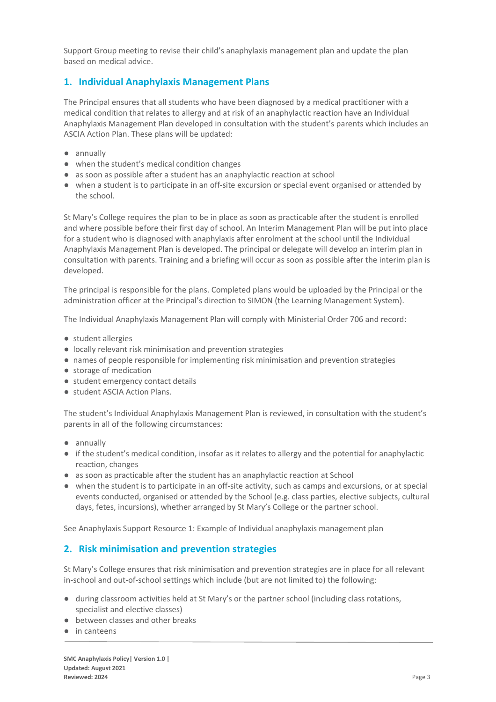Support Group meeting to revise their child's anaphylaxis management plan and update the plan based on medical advice.

## **1. Individual Anaphylaxis Management Plans**

The Principal ensures that all students who have been diagnosed by a medical practitioner with a medical condition that relates to allergy and at risk of an anaphylactic reaction have an Individual Anaphylaxis Management Plan developed in consultation with the student's parents which includes an ASCIA Action Plan. These plans will be updated:

- annually
- when the student's medical condition changes
- as soon as possible after a student has an anaphylactic reaction at school
- when a student is to participate in an off-site excursion or special event organised or attended by the school.

St Mary's College requires the plan to be in place as soon as practicable after the student is enrolled and where possible before their first day of school. An Interim Management Plan will be put into place for a student who is diagnosed with anaphylaxis after enrolment at the school until the Individual Anaphylaxis Management Plan is developed. The principal or delegate will develop an interim plan in consultation with parents. Training and a briefing will occur as soon as possible after the interim plan is developed.

The principal is responsible for the plans. Completed plans would be uploaded by the Principal or the administration officer at the Principal's direction to SIMON (the Learning Management System).

The Individual Anaphylaxis Management Plan will comply with Ministerial Order 706 and record:

- student allergies
- locally relevant risk minimisation and prevention strategies
- names of people responsible for implementing risk minimisation and prevention strategies
- storage of medication
- student emergency contact details
- student ASCIA Action Plans.

The student's Individual Anaphylaxis Management Plan is reviewed, in consultation with the student's parents in all of the following circumstances:

- annually
- if the student's medical condition, insofar as it relates to allergy and the potential for anaphylactic reaction, changes
- as soon as practicable after the student has an anaphylactic reaction at School
- when the student is to participate in an off-site activity, such as camps and excursions, or at special events conducted, organised or attended by the School (e.g. class parties, elective subjects, cultural days, fetes, incursions), whether arranged by St Mary's College or the partner school.

See Anaphylaxis Support Resource 1: Example of Individual anaphylaxis management plan

## **2. Risk minimisation and prevention strategies**

St Mary's College ensures that risk minimisation and prevention strategies are in place for all relevant in-school and out-of-school settings which include (but are not limited to) the following:

- during classroom activities held at St Mary's or the partner school (including class rotations, specialist and elective classes)
- between classes and other breaks
- in canteens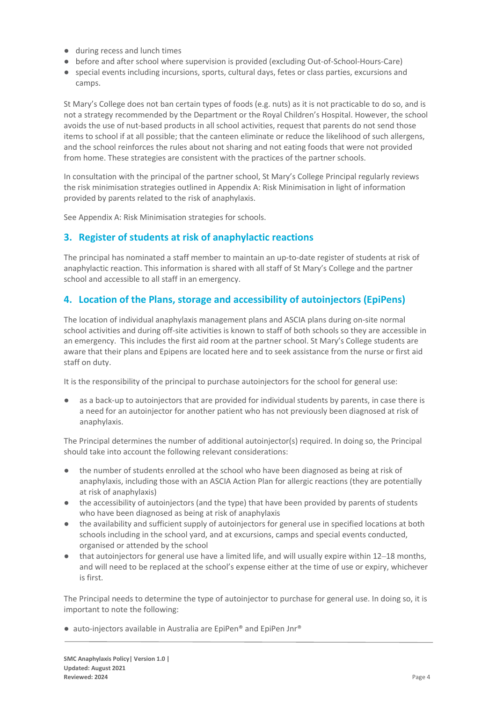- during recess and lunch times
- before and after school where supervision is provided (excluding Out-of-School-Hours-Care)
- special events including incursions, sports, cultural days, fetes or class parties, excursions and camps.

St Mary's College does not ban certain types of foods (e.g. nuts) as it is not practicable to do so, and is not a strategy recommended by the Department or the Royal Children's Hospital. However, the school avoids the use of nut-based products in all school activities, request that parents do not send those items to school if at all possible; that the canteen eliminate or reduce the likelihood of such allergens, and the school reinforces the rules about not sharing and not eating foods that were not provided from home. These strategies are consistent with the practices of the partner schools.

In consultation with the principal of the partner school, St Mary's College Principal regularly reviews the risk minimisation strategies outlined in Appendix A: Risk Minimisation in light of information provided by parents related to the risk of anaphylaxis.

See Appendix A: Risk Minimisation strategies for schools.

## **3. Register of students at risk of anaphylactic reactions**

The principal has nominated a staff member to maintain an up-to-date register of students at risk of anaphylactic reaction. This information is shared with all staff of St Mary's College and the partner school and accessible to all staff in an emergency.

## **4. Location of the Plans, storage and accessibility of autoinjectors (EpiPens)**

The location of individual anaphylaxis management plans and ASCIA plans during on-site normal school activities and during off-site activities is known to staff of both schools so they are accessible in an emergency. This includes the first aid room at the partner school. St Mary's College students are aware that their plans and Epipens are located here and to seek assistance from the nurse or first aid staff on duty.

It is the responsibility of the principal to purchase autoinjectors for the school for general use:

as a back-up to autoinjectors that are provided for individual students by parents, in case there is a need for an autoinjector for another patient who has not previously been diagnosed at risk of anaphylaxis.

The Principal determines the number of additional autoinjector(s) required. In doing so, the Principal should take into account the following relevant considerations:

- the number of students enrolled at the school who have been diagnosed as being at risk of anaphylaxis, including those with an ASCIA Action Plan for allergic reactions (they are potentially at risk of anaphylaxis)
- the accessibility of autoinjectors (and the type) that have been provided by parents of students who have been diagnosed as being at risk of anaphylaxis
- the availability and sufficient supply of autoinjectors for general use in specified locations at both schools including in the school yard, and at excursions, camps and special events conducted, organised or attended by the school
- that autoinjectors for general use have a limited life, and will usually expire within 12–18 months, and will need to be replaced at the school's expense either at the time of use or expiry, whichever is first.

The Principal needs to determine the type of autoinjector to purchase for general use. In doing so, it is important to note the following:

● auto-injectors available in Australia are EpiPen® and EpiPen Jnr®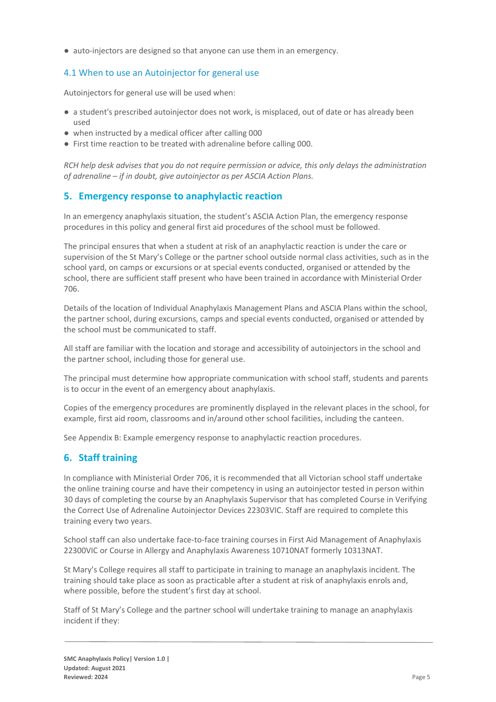● auto-injectors are designed so that anyone can use them in an emergency.

#### 4.1 When to use an Autoinjector for general use

Autoinjectors for general use will be used when:

- a student's prescribed autoinjector does not work, is misplaced, out of date or has already been used
- when instructed by a medical officer after calling 000
- First time reaction to be treated with adrenaline before calling 000.

*RCH help desk advises that you do not require permission or advice, this only delays the administration of adrenaline – if in doubt, give autoinjector as per ASCIA Action Plans.*

### **5. Emergency response to anaphylactic reaction**

In an emergency anaphylaxis situation, the student's ASCIA Action Plan, the emergency response procedures in this policy and general first aid procedures of the school must be followed.

The principal ensures that when a student at risk of an anaphylactic reaction is under the care or supervision of the St Mary's College or the partner school outside normal class activities, such as in the school yard, on camps or excursions or at special events conducted, organised or attended by the school, there are sufficient staff present who have been trained in accordance with Ministerial Order 706.

Details of the location of Individual Anaphylaxis Management Plans and ASCIA Plans within the school, the partner school, during excursions, camps and special events conducted, organised or attended by the school must be communicated to staff.

All staff are familiar with the location and storage and accessibility of autoinjectors in the school and the partner school, including those for general use.

The principal must determine how appropriate communication with school staff, students and parents is to occur in the event of an emergency about anaphylaxis.

Copies of the emergency procedures are prominently displayed in the relevant places in the school, for example, first aid room, classrooms and in/around other school facilities, including the canteen.

See Appendix B: Example emergency response to anaphylactic reaction procedures.

## **6. Staff training**

In compliance with Ministerial Order 706, it is recommended that all Victorian school staff undertake the online training course and have their competency in using an autoinjector tested in person within 30 days of completing the course by an Anaphylaxis Supervisor that has completed Course in Verifying the Correct Use of Adrenaline Autoinjector Devices 22303VIC. Staff are required to complete this training every two years.

School staff can also undertake face-to-face training courses in First Aid Management of Anaphylaxis 22300VIC or Course in Allergy and Anaphylaxis Awareness 10710NAT formerly 10313NAT.

St Mary's College requires all staff to participate in training to manage an anaphylaxis incident. The training should take place as soon as practicable after a student at risk of anaphylaxis enrols and, where possible, before the student's first day at school.

Staff of St Mary's College and the partner school will undertake training to manage an anaphylaxis incident if they: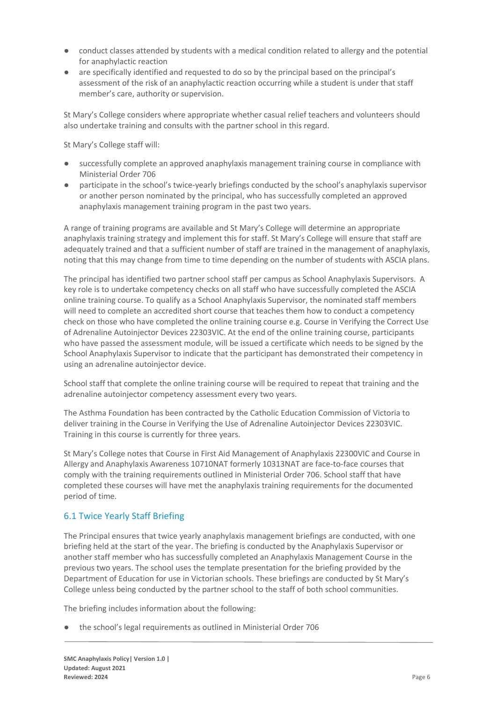- conduct classes attended by students with a medical condition related to allergy and the potential for anaphylactic reaction
- are specifically identified and requested to do so by the principal based on the principal's assessment of the risk of an anaphylactic reaction occurring while a student is under that staff member's care, authority or supervision.

St Mary's College considers where appropriate whether casual relief teachers and volunteers should also undertake training and consults with the partner school in this regard.

St Mary's College staff will:

- successfully complete an approved anaphylaxis management training course in compliance with Ministerial Order 706
- participate in the school's twice-yearly briefings conducted by the school's anaphylaxis supervisor or another person nominated by the principal, who has successfully completed an approved anaphylaxis management training program in the past two years.

A range of training programs are available and St Mary's College will determine an appropriate anaphylaxis training strategy and implement this for staff. St Mary's College will ensure that staff are adequately trained and that a sufficient number of staff are trained in the management of anaphylaxis, noting that this may change from time to time depending on the number of students with ASCIA plans.

The principal has identified two partner school staff per campus as School Anaphylaxis Supervisors. A key role is to undertake competency checks on all staff who have successfully completed the ASCIA online training course. To qualify as a School Anaphylaxis Supervisor, the nominated staff members will need to complete an accredited short course that teaches them how to conduct a competency check on those who have completed the online training course e.g. Course in Verifying the Correct Use of Adrenaline Autoinjector Devices 22303VIC. At the end of the online training course, participants who have passed the assessment module, will be issued a certificate which needs to be signed by the School Anaphylaxis Supervisor to indicate that the participant has demonstrated their competency in using an adrenaline autoinjector device.

School staff that complete the online training course will be required to repeat that training and the adrenaline autoinjector competency assessment every two years.

The Asthma Foundation has been contracted by the Catholic Education Commission of Victoria to deliver training in the Course in Verifying the Use of Adrenaline Autoinjector Devices 22303VIC. Training in this course is currently for three years.

St Mary's College notes that Course in First Aid Management of Anaphylaxis 22300VIC and Course in Allergy and Anaphylaxis Awareness 10710NAT formerly 10313NAT are face-to-face courses that comply with the training requirements outlined in Ministerial Order 706. School staff that have completed these courses will have met the anaphylaxis training requirements for the documented period of time.

#### 6.1 Twice Yearly Staff Briefing

The Principal ensures that twice yearly anaphylaxis management briefings are conducted, with one briefing held at the start of the year. The briefing is conducted by the Anaphylaxis Supervisor or another staff member who has successfully completed an Anaphylaxis Management Course in the previous two years. The school uses the template presentation for the briefing provided by the Department of Education for use in Victorian schools. These briefings are conducted by St Mary's College unless being conducted by the partner school to the staff of both school communities.

The briefing includes information about the following:

● the school's legal requirements as outlined in Ministerial Order 706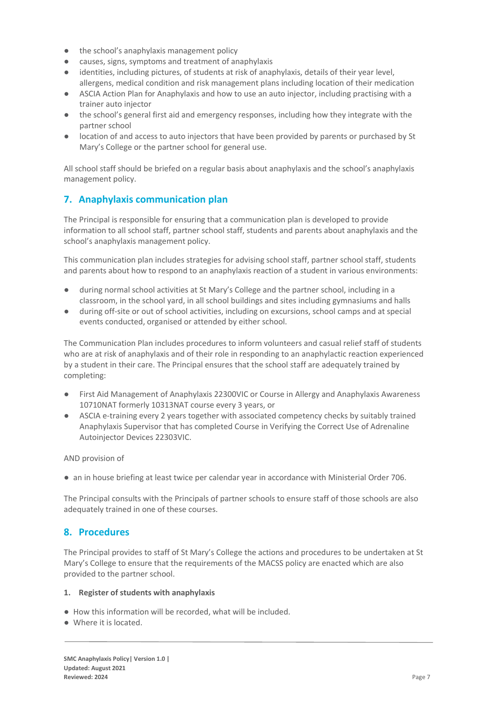- the school's anaphylaxis management policy
- causes, signs, symptoms and treatment of anaphylaxis
- identities, including pictures, of students at risk of anaphylaxis, details of their year level, allergens, medical condition and risk management plans including location of their medication
- ASCIA Action Plan for Anaphylaxis and how to use an auto injector, including practising with a trainer auto injector
- the school's general first aid and emergency responses, including how they integrate with the partner school
- location of and access to auto injectors that have been provided by parents or purchased by St Mary's College or the partner school for general use.

All school staff should be briefed on a regular basis about anaphylaxis and the school's anaphylaxis management policy.

## **7. Anaphylaxis communication plan**

The Principal is responsible for ensuring that a communication plan is developed to provide information to all school staff, partner school staff, students and parents about anaphylaxis and the school's anaphylaxis management policy.

This communication plan includes strategies for advising school staff, partner school staff, students and parents about how to respond to an anaphylaxis reaction of a student in various environments:

- during normal school activities at St Mary's College and the partner school, including in a classroom, in the school yard, in all school buildings and sites including gymnasiums and halls
- during off-site or out of school activities, including on excursions, school camps and at special events conducted, organised or attended by either school.

The Communication Plan includes procedures to inform volunteers and casual relief staff of students who are at risk of anaphylaxis and of their role in responding to an anaphylactic reaction experienced by a student in their care. The Principal ensures that the school staff are adequately trained by completing:

- First Aid Management of Anaphylaxis 22300VIC or Course in Allergy and Anaphylaxis Awareness 10710NAT formerly 10313NAT course every 3 years, or
- ASCIA e-training every 2 years together with associated competency checks by suitably trained Anaphylaxis Supervisor that has completed Course in Verifying the Correct Use of Adrenaline Autoinjector Devices 22303VIC.

AND provision of

● an in house briefing at least twice per calendar year in accordance with Ministerial Order 706.

The Principal consults with the Principals of partner schools to ensure staff of those schools are also adequately trained in one of these courses.

## **8. Procedures**

The Principal provides to staff of St Mary's College the actions and procedures to be undertaken at St Mary's College to ensure that the requirements of the MACSS policy are enacted which are also provided to the partner school.

#### **1. Register of students with anaphylaxis**

- How this information will be recorded, what will be included.
- Where it is located.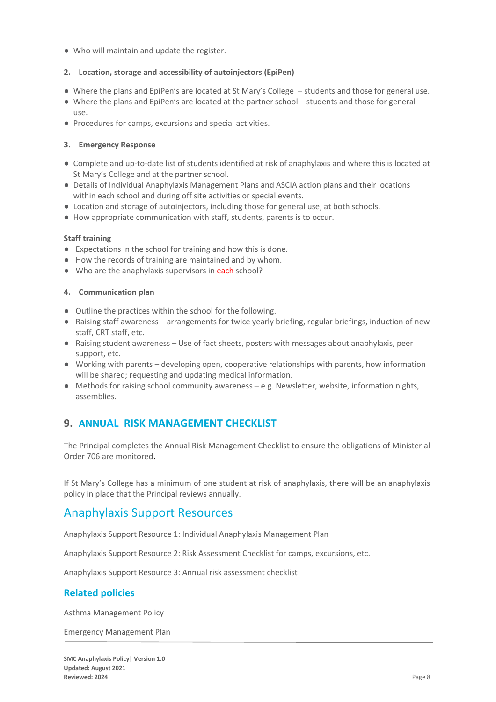● Who will maintain and update the register.

#### **2. Location, storage and accessibility of autoinjectors (EpiPen)**

- Where the plans and EpiPen's are located at St Mary's College students and those for general use.
- Where the plans and EpiPen's are located at the partner school students and those for general use.
- Procedures for camps, excursions and special activities.

#### **3. Emergency Response**

- Complete and up-to-date list of students identified at risk of anaphylaxis and where this is located at St Mary's College and at the partner school.
- Details of Individual Anaphylaxis Management Plans and ASCIA action plans and their locations within each school and during off site activities or special events.
- Location and storage of autoinjectors, including those for general use, at both schools.
- How appropriate communication with staff, students, parents is to occur.

#### **Staff training**

- Expectations in the school for training and how this is done.
- How the records of training are maintained and by whom.
- Who are the anaphylaxis supervisors in each school?

#### **4. Communication plan**

- Outline the practices within the school for the following.
- Raising staff awareness arrangements for twice yearly briefing, regular briefings, induction of new staff, CRT staff, etc.
- Raising student awareness Use of fact sheets, posters with messages about anaphylaxis, peer support, etc.
- Working with parents developing open, cooperative relationships with parents, how information will be shared; requesting and updating medical information.
- Methods for raising school community awareness e.g. Newsletter, website, information nights, assemblies.

## **9. ANNUAL RISK MANAGEMENT CHECKLIST**

The Principal completes the Annual Risk Management Checklist to ensure the obligations of Ministerial Order 706 are monitored.

If St Mary's College has a minimum of one student at risk of anaphylaxis, there will be an anaphylaxis policy in place that the Principal reviews annually.

## Anaphylaxis Support Resources

Anaphylaxis Support Resource 1: Individual Anaphylaxis Management Plan

Anaphylaxis Support Resource 2: Risk Assessment Checklist for camps, excursions, etc.

Anaphylaxis Support Resource 3: Annual risk assessment checklist

#### **Related policies**

Asthma Management Policy

Emergency Management Plan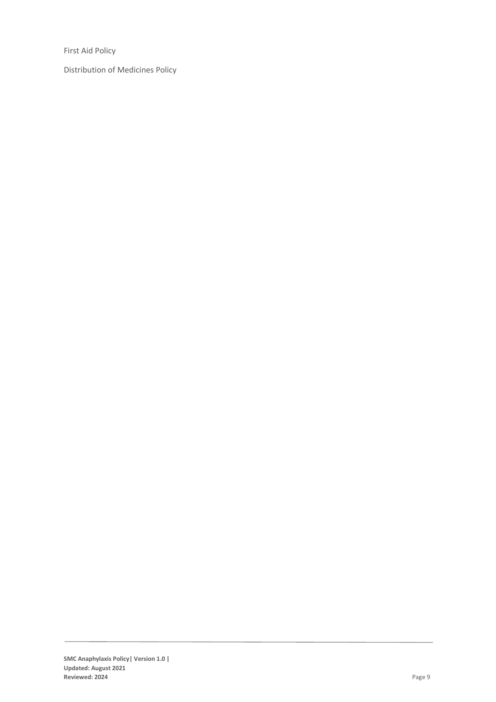First Aid Policy

Distribution of Medicines Policy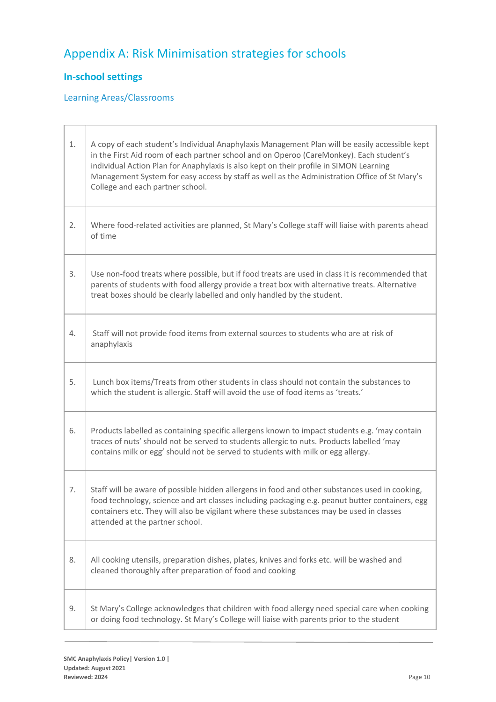# Appendix A: Risk Minimisation strategies for schools

## **In-school settings**

## Learning Areas/Classrooms

| 1. | A copy of each student's Individual Anaphylaxis Management Plan will be easily accessible kept<br>in the First Aid room of each partner school and on Operoo (CareMonkey). Each student's<br>individual Action Plan for Anaphylaxis is also kept on their profile in SIMON Learning<br>Management System for easy access by staff as well as the Administration Office of St Mary's<br>College and each partner school. |  |
|----|-------------------------------------------------------------------------------------------------------------------------------------------------------------------------------------------------------------------------------------------------------------------------------------------------------------------------------------------------------------------------------------------------------------------------|--|
| 2. | Where food-related activities are planned, St Mary's College staff will liaise with parents ahead<br>of time                                                                                                                                                                                                                                                                                                            |  |
| 3. | Use non-food treats where possible, but if food treats are used in class it is recommended that<br>parents of students with food allergy provide a treat box with alternative treats. Alternative<br>treat boxes should be clearly labelled and only handled by the student.                                                                                                                                            |  |
| 4. | Staff will not provide food items from external sources to students who are at risk of<br>anaphylaxis                                                                                                                                                                                                                                                                                                                   |  |
| 5. | Lunch box items/Treats from other students in class should not contain the substances to<br>which the student is allergic. Staff will avoid the use of food items as 'treats.'                                                                                                                                                                                                                                          |  |
| 6. | Products labelled as containing specific allergens known to impact students e.g. 'may contain<br>traces of nuts' should not be served to students allergic to nuts. Products labelled 'may<br>contains milk or egg' should not be served to students with milk or egg allergy.                                                                                                                                          |  |
| 7. | Staff will be aware of possible hidden allergens in food and other substances used in cooking,<br>food technology, science and art classes including packaging e.g. peanut butter containers, egg<br>containers etc. They will also be vigilant where these substances may be used in classes<br>attended at the partner school.                                                                                        |  |
| 8. | All cooking utensils, preparation dishes, plates, knives and forks etc. will be washed and<br>cleaned thoroughly after preparation of food and cooking                                                                                                                                                                                                                                                                  |  |
| 9. | St Mary's College acknowledges that children with food allergy need special care when cooking<br>or doing food technology. St Mary's College will liaise with parents prior to the student                                                                                                                                                                                                                              |  |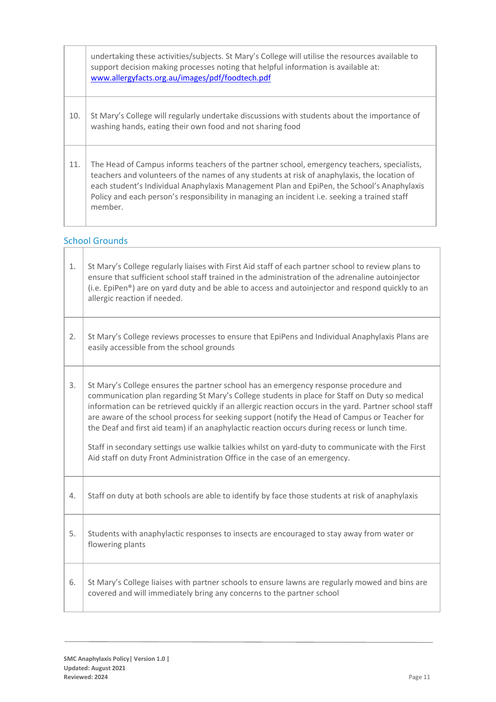|     | undertaking these activities/subjects. St Mary's College will utilise the resources available to<br>support decision making processes noting that helpful information is available at:<br>www.allergyfacts.org.au/images/pdf/foodtech.pdf                                                                                                                                                            |
|-----|------------------------------------------------------------------------------------------------------------------------------------------------------------------------------------------------------------------------------------------------------------------------------------------------------------------------------------------------------------------------------------------------------|
| 10. | St Mary's College will regularly undertake discussions with students about the importance of<br>washing hands, eating their own food and not sharing food                                                                                                                                                                                                                                            |
| 11. | The Head of Campus informs teachers of the partner school, emergency teachers, specialists,<br>teachers and volunteers of the names of any students at risk of anaphylaxis, the location of<br>each student's Individual Anaphylaxis Management Plan and EpiPen, the School's Anaphylaxis<br>Policy and each person's responsibility in managing an incident i.e. seeking a trained staff<br>member. |

# School Grounds

| 1. | St Mary's College regularly liaises with First Aid staff of each partner school to review plans to<br>ensure that sufficient school staff trained in the administration of the adrenaline autoinjector<br>(i.e. EpiPen <sup>®</sup> ) are on yard duty and be able to access and autoinjector and respond quickly to an<br>allergic reaction if needed.                                                                                                                                                                                                                                                                                                                           |
|----|-----------------------------------------------------------------------------------------------------------------------------------------------------------------------------------------------------------------------------------------------------------------------------------------------------------------------------------------------------------------------------------------------------------------------------------------------------------------------------------------------------------------------------------------------------------------------------------------------------------------------------------------------------------------------------------|
| 2. | St Mary's College reviews processes to ensure that EpiPens and Individual Anaphylaxis Plans are<br>easily accessible from the school grounds                                                                                                                                                                                                                                                                                                                                                                                                                                                                                                                                      |
| 3. | St Mary's College ensures the partner school has an emergency response procedure and<br>communication plan regarding St Mary's College students in place for Staff on Duty so medical<br>information can be retrieved quickly if an allergic reaction occurs in the yard. Partner school staff<br>are aware of the school process for seeking support (notify the Head of Campus or Teacher for<br>the Deaf and first aid team) if an anaphylactic reaction occurs during recess or lunch time.<br>Staff in secondary settings use walkie talkies whilst on yard-duty to communicate with the First<br>Aid staff on duty Front Administration Office in the case of an emergency. |
| 4. | Staff on duty at both schools are able to identify by face those students at risk of anaphylaxis                                                                                                                                                                                                                                                                                                                                                                                                                                                                                                                                                                                  |
| 5. | Students with anaphylactic responses to insects are encouraged to stay away from water or<br>flowering plants                                                                                                                                                                                                                                                                                                                                                                                                                                                                                                                                                                     |
| 6. | St Mary's College liaises with partner schools to ensure lawns are regularly mowed and bins are<br>covered and will immediately bring any concerns to the partner school                                                                                                                                                                                                                                                                                                                                                                                                                                                                                                          |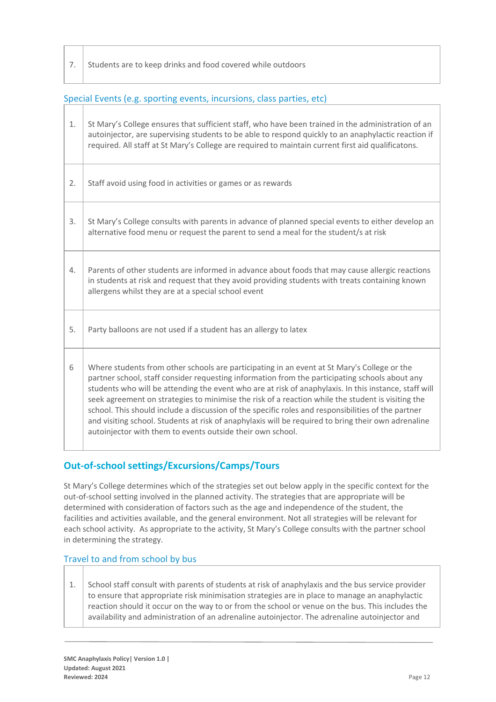7. Students are to keep drinks and food covered while outdoors

#### Special Events (e.g. sporting events, incursions, class parties, etc)

| 1. | St Mary's College ensures that sufficient staff, who have been trained in the administration of an<br>autoinjector, are supervising students to be able to respond quickly to an anaphylactic reaction if<br>required. All staff at St Mary's College are required to maintain current first aid qualificatons.                                                                                                                                                                                                                                                                                                                                                                        |
|----|----------------------------------------------------------------------------------------------------------------------------------------------------------------------------------------------------------------------------------------------------------------------------------------------------------------------------------------------------------------------------------------------------------------------------------------------------------------------------------------------------------------------------------------------------------------------------------------------------------------------------------------------------------------------------------------|
| 2. | Staff avoid using food in activities or games or as rewards                                                                                                                                                                                                                                                                                                                                                                                                                                                                                                                                                                                                                            |
| 3. | St Mary's College consults with parents in advance of planned special events to either develop an<br>alternative food menu or request the parent to send a meal for the student/s at risk                                                                                                                                                                                                                                                                                                                                                                                                                                                                                              |
| 4. | Parents of other students are informed in advance about foods that may cause allergic reactions<br>in students at risk and request that they avoid providing students with treats containing known<br>allergens whilst they are at a special school event                                                                                                                                                                                                                                                                                                                                                                                                                              |
| 5. | Party balloons are not used if a student has an allergy to latex                                                                                                                                                                                                                                                                                                                                                                                                                                                                                                                                                                                                                       |
| 6  | Where students from other schools are participating in an event at St Mary's College or the<br>partner school, staff consider requesting information from the participating schools about any<br>students who will be attending the event who are at risk of anaphylaxis. In this instance, staff will<br>seek agreement on strategies to minimise the risk of a reaction while the student is visiting the<br>school. This should include a discussion of the specific roles and responsibilities of the partner<br>and visiting school. Students at risk of anaphylaxis will be required to bring their own adrenaline<br>autoinjector with them to events outside their own school. |

## **Out-of-school settings/Excursions/Camps/Tours**

St Mary's College determines which of the strategies set out below apply in the specific context for the out-of-school setting involved in the planned activity. The strategies that are appropriate will be determined with consideration of factors such as the age and independence of the student, the facilities and activities available, and the general environment. Not all strategies will be relevant for each school activity. As appropriate to the activity, St Mary's College consults with the partner school in determining the strategy.

#### Travel to and from school by bus

1. School staff consult with parents of students at risk of anaphylaxis and the bus service provider to ensure that appropriate risk minimisation strategies are in place to manage an anaphylactic reaction should it occur on the way to or from the school or venue on the bus. This includes the availability and administration of an adrenaline autoinjector. The adrenaline autoinjector and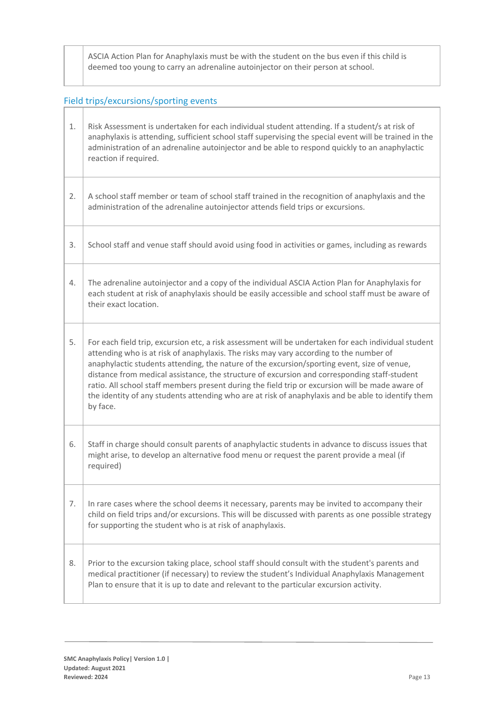ASCIA Action Plan for Anaphylaxis must be with the student on the bus even if this child is deemed too young to carry an adrenaline autoinjector on their person at school.

# Field trips/excursions/sporting events

| 1. | Risk Assessment is undertaken for each individual student attending. If a student/s at risk of<br>anaphylaxis is attending, sufficient school staff supervising the special event will be trained in the<br>administration of an adrenaline autoinjector and be able to respond quickly to an anaphylactic<br>reaction if required.                                                                                                                                                                                                                                                                                 |  |
|----|---------------------------------------------------------------------------------------------------------------------------------------------------------------------------------------------------------------------------------------------------------------------------------------------------------------------------------------------------------------------------------------------------------------------------------------------------------------------------------------------------------------------------------------------------------------------------------------------------------------------|--|
| 2. | A school staff member or team of school staff trained in the recognition of anaphylaxis and the<br>administration of the adrenaline autoinjector attends field trips or excursions.                                                                                                                                                                                                                                                                                                                                                                                                                                 |  |
| 3. | School staff and venue staff should avoid using food in activities or games, including as rewards                                                                                                                                                                                                                                                                                                                                                                                                                                                                                                                   |  |
| 4. | The adrenaline autoinjector and a copy of the individual ASCIA Action Plan for Anaphylaxis for<br>each student at risk of anaphylaxis should be easily accessible and school staff must be aware of<br>their exact location.                                                                                                                                                                                                                                                                                                                                                                                        |  |
| 5. | For each field trip, excursion etc, a risk assessment will be undertaken for each individual student<br>attending who is at risk of anaphylaxis. The risks may vary according to the number of<br>anaphylactic students attending, the nature of the excursion/sporting event, size of venue,<br>distance from medical assistance, the structure of excursion and corresponding staff-student<br>ratio. All school staff members present during the field trip or excursion will be made aware of<br>the identity of any students attending who are at risk of anaphylaxis and be able to identify them<br>by face. |  |
| 6. | Staff in charge should consult parents of anaphylactic students in advance to discuss issues that<br>might arise, to develop an alternative food menu or request the parent provide a meal (if<br>required)                                                                                                                                                                                                                                                                                                                                                                                                         |  |
| 7. | In rare cases where the school deems it necessary, parents may be invited to accompany their<br>child on field trips and/or excursions. This will be discussed with parents as one possible strategy<br>for supporting the student who is at risk of anaphylaxis.                                                                                                                                                                                                                                                                                                                                                   |  |
| 8. | Prior to the excursion taking place, school staff should consult with the student's parents and<br>medical practitioner (if necessary) to review the student's Individual Anaphylaxis Management<br>Plan to ensure that it is up to date and relevant to the particular excursion activity.                                                                                                                                                                                                                                                                                                                         |  |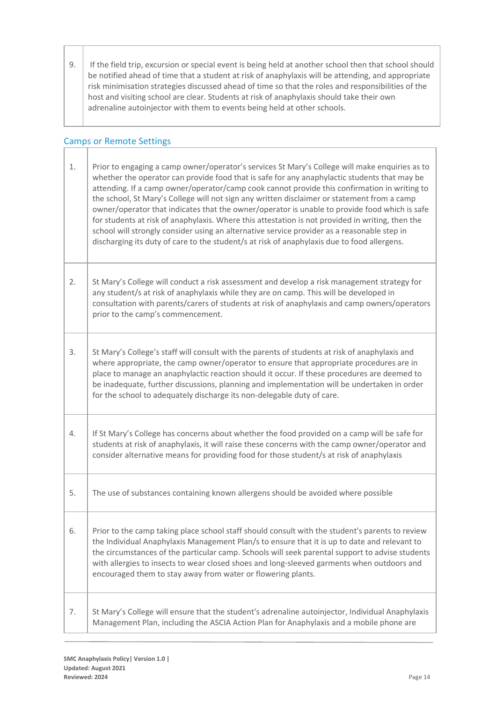9. If the field trip, excursion or special event is being held at another school then that school should be notified ahead of time that a student at risk of anaphylaxis will be attending, and appropriate risk minimisation strategies discussed ahead of time so that the roles and responsibilities of the host and visiting school are clear. Students at risk of anaphylaxis should take their own adrenaline autoinjector with them to events being held at other schools.

## Camps or Remote Settings

| 1. | Prior to engaging a camp owner/operator's services St Mary's College will make enquiries as to<br>whether the operator can provide food that is safe for any anaphylactic students that may be<br>attending. If a camp owner/operator/camp cook cannot provide this confirmation in writing to<br>the school, St Mary's College will not sign any written disclaimer or statement from a camp<br>owner/operator that indicates that the owner/operator is unable to provide food which is safe<br>for students at risk of anaphylaxis. Where this attestation is not provided in writing, then the<br>school will strongly consider using an alternative service provider as a reasonable step in<br>discharging its duty of care to the student/s at risk of anaphylaxis due to food allergens. |
|----|--------------------------------------------------------------------------------------------------------------------------------------------------------------------------------------------------------------------------------------------------------------------------------------------------------------------------------------------------------------------------------------------------------------------------------------------------------------------------------------------------------------------------------------------------------------------------------------------------------------------------------------------------------------------------------------------------------------------------------------------------------------------------------------------------|
| 2. | St Mary's College will conduct a risk assessment and develop a risk management strategy for<br>any student/s at risk of anaphylaxis while they are on camp. This will be developed in<br>consultation with parents/carers of students at risk of anaphylaxis and camp owners/operators<br>prior to the camp's commencement.                                                                                                                                                                                                                                                                                                                                                                                                                                                                      |
| 3. | St Mary's College's staff will consult with the parents of students at risk of anaphylaxis and<br>where appropriate, the camp owner/operator to ensure that appropriate procedures are in<br>place to manage an anaphylactic reaction should it occur. If these procedures are deemed to<br>be inadequate, further discussions, planning and implementation will be undertaken in order<br>for the school to adequately discharge its non-delegable duty of care.                                                                                                                                                                                                                                                                                                                                |
| 4. | If St Mary's College has concerns about whether the food provided on a camp will be safe for<br>students at risk of anaphylaxis, it will raise these concerns with the camp owner/operator and<br>consider alternative means for providing food for those student/s at risk of anaphylaxis                                                                                                                                                                                                                                                                                                                                                                                                                                                                                                       |
| 5. | The use of substances containing known allergens should be avoided where possible                                                                                                                                                                                                                                                                                                                                                                                                                                                                                                                                                                                                                                                                                                                |
| 6. | Prior to the camp taking place school staff should consult with the student's parents to review<br>the Individual Anaphylaxis Management Plan/s to ensure that it is up to date and relevant to<br>the circumstances of the particular camp. Schools will seek parental support to advise students<br>with allergies to insects to wear closed shoes and long-sleeved garments when outdoors and<br>encouraged them to stay away from water or flowering plants.                                                                                                                                                                                                                                                                                                                                 |
| 7. | St Mary's College will ensure that the student's adrenaline autoinjector, Individual Anaphylaxis<br>Management Plan, including the ASCIA Action Plan for Anaphylaxis and a mobile phone are                                                                                                                                                                                                                                                                                                                                                                                                                                                                                                                                                                                                      |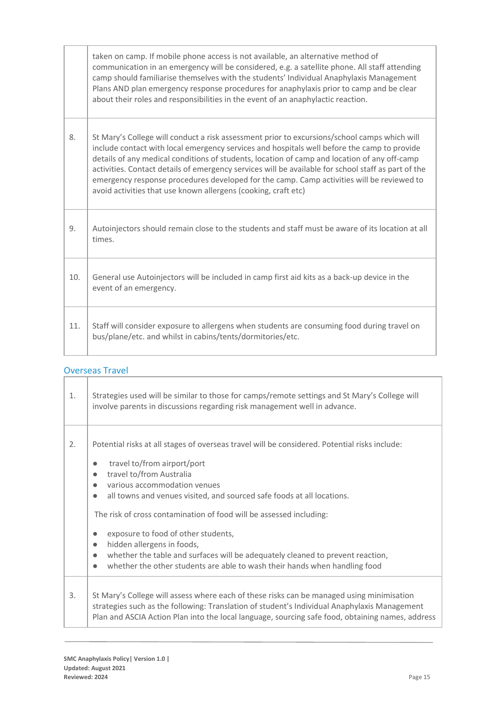|     | taken on camp. If mobile phone access is not available, an alternative method of<br>communication in an emergency will be considered, e.g. a satellite phone. All staff attending<br>camp should familiarise themselves with the students' Individual Anaphylaxis Management<br>Plans AND plan emergency response procedures for anaphylaxis prior to camp and be clear<br>about their roles and responsibilities in the event of an anaphylactic reaction.                                                                                                       |
|-----|-------------------------------------------------------------------------------------------------------------------------------------------------------------------------------------------------------------------------------------------------------------------------------------------------------------------------------------------------------------------------------------------------------------------------------------------------------------------------------------------------------------------------------------------------------------------|
| 8.  | St Mary's College will conduct a risk assessment prior to excursions/school camps which will<br>include contact with local emergency services and hospitals well before the camp to provide<br>details of any medical conditions of students, location of camp and location of any off-camp<br>activities. Contact details of emergency services will be available for school staff as part of the<br>emergency response procedures developed for the camp. Camp activities will be reviewed to<br>avoid activities that use known allergens (cooking, craft etc) |
| 9.  | Autoinjectors should remain close to the students and staff must be aware of its location at all<br>times.                                                                                                                                                                                                                                                                                                                                                                                                                                                        |
| 10. | General use Autoinjectors will be included in camp first aid kits as a back-up device in the<br>event of an emergency.                                                                                                                                                                                                                                                                                                                                                                                                                                            |
| 11. | Staff will consider exposure to allergens when students are consuming food during travel on<br>bus/plane/etc. and whilst in cabins/tents/dormitories/etc.                                                                                                                                                                                                                                                                                                                                                                                                         |

# Overseas Travel

| 1. | Strategies used will be similar to those for camps/remote settings and St Mary's College will<br>involve parents in discussions regarding risk management well in advance.                                                                                                                                                                                                                                                                                                                                                                                                                                                                                                             |  |
|----|----------------------------------------------------------------------------------------------------------------------------------------------------------------------------------------------------------------------------------------------------------------------------------------------------------------------------------------------------------------------------------------------------------------------------------------------------------------------------------------------------------------------------------------------------------------------------------------------------------------------------------------------------------------------------------------|--|
| 2. | Potential risks at all stages of overseas travel will be considered. Potential risks include:<br>travel to/from airport/port<br>$\bullet$<br>travel to/from Australia<br>$\bullet$<br>various accommodation venues<br>$\bullet$<br>all towns and venues visited, and sourced safe foods at all locations.<br>$\bullet$<br>The risk of cross contamination of food will be assessed including:<br>exposure to food of other students,<br>$\bullet$<br>hidden allergens in foods,<br>$\bullet$<br>whether the table and surfaces will be adequately cleaned to prevent reaction,<br>$\bullet$<br>whether the other students are able to wash their hands when handling food<br>$\bullet$ |  |
| 3. | St Mary's College will assess where each of these risks can be managed using minimisation<br>strategies such as the following: Translation of student's Individual Anaphylaxis Management<br>Plan and ASCIA Action Plan into the local language, sourcing safe food, obtaining names, address                                                                                                                                                                                                                                                                                                                                                                                          |  |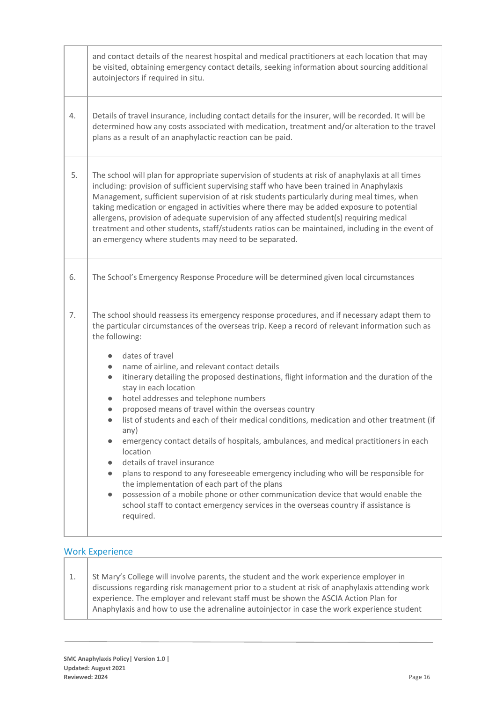|    | and contact details of the nearest hospital and medical practitioners at each location that may<br>be visited, obtaining emergency contact details, seeking information about sourcing additional<br>autoinjectors if required in situ.                                                                                                                                                                                                                                                                                                                                                                                                                                                                                                                                                                                                                                                                                                                                                                                                                                                                                                                                                       |  |
|----|-----------------------------------------------------------------------------------------------------------------------------------------------------------------------------------------------------------------------------------------------------------------------------------------------------------------------------------------------------------------------------------------------------------------------------------------------------------------------------------------------------------------------------------------------------------------------------------------------------------------------------------------------------------------------------------------------------------------------------------------------------------------------------------------------------------------------------------------------------------------------------------------------------------------------------------------------------------------------------------------------------------------------------------------------------------------------------------------------------------------------------------------------------------------------------------------------|--|
| 4. | Details of travel insurance, including contact details for the insurer, will be recorded. It will be<br>determined how any costs associated with medication, treatment and/or alteration to the travel<br>plans as a result of an anaphylactic reaction can be paid.                                                                                                                                                                                                                                                                                                                                                                                                                                                                                                                                                                                                                                                                                                                                                                                                                                                                                                                          |  |
| 5. | The school will plan for appropriate supervision of students at risk of anaphylaxis at all times<br>including: provision of sufficient supervising staff who have been trained in Anaphylaxis<br>Management, sufficient supervision of at risk students particularly during meal times, when<br>taking medication or engaged in activities where there may be added exposure to potential<br>allergens, provision of adequate supervision of any affected student(s) requiring medical<br>treatment and other students, staff/students ratios can be maintained, including in the event of<br>an emergency where students may need to be separated.                                                                                                                                                                                                                                                                                                                                                                                                                                                                                                                                           |  |
| 6. | The School's Emergency Response Procedure will be determined given local circumstances                                                                                                                                                                                                                                                                                                                                                                                                                                                                                                                                                                                                                                                                                                                                                                                                                                                                                                                                                                                                                                                                                                        |  |
| 7. | The school should reassess its emergency response procedures, and if necessary adapt them to<br>the particular circumstances of the overseas trip. Keep a record of relevant information such as<br>the following:<br>dates of travel<br>$\bullet$<br>name of airline, and relevant contact details<br>$\bullet$<br>itinerary detailing the proposed destinations, flight information and the duration of the<br>$\bullet$<br>stay in each location<br>hotel addresses and telephone numbers<br>$\bullet$<br>proposed means of travel within the overseas country<br>$\bullet$<br>list of students and each of their medical conditions, medication and other treatment (if<br>any)<br>emergency contact details of hospitals, ambulances, and medical practitioners in each<br>location<br>details of travel insurance<br>$\bullet$<br>plans to respond to any foreseeable emergency including who will be responsible for<br>$\bullet$<br>the implementation of each part of the plans<br>possession of a mobile phone or other communication device that would enable the<br>$\bullet$<br>school staff to contact emergency services in the overseas country if assistance is<br>required. |  |

## Work Experience

|  | St Mary's College will involve parents, the student and the work experience employer in        |
|--|------------------------------------------------------------------------------------------------|
|  | discussions regarding risk management prior to a student at risk of anaphylaxis attending work |
|  | experience. The employer and relevant staff must be shown the ASCIA Action Plan for            |
|  | Anaphylaxis and how to use the adrenaline autoinjector in case the work experience student     |
|  |                                                                                                |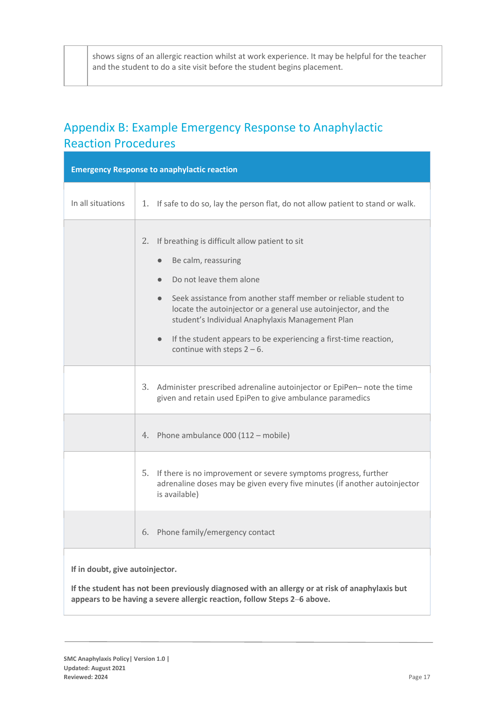shows signs of an allergic reaction whilst at work experience. It may be helpful for the teacher and the student to do a site visit before the student begins placement.

# Appendix B: Example Emergency Response to Anaphylactic Reaction Procedures

| <b>Emergency Response to anaphylactic reaction</b> |                                                                                                                                                                                                                                                                                                                                                                                                                                           |  |
|----------------------------------------------------|-------------------------------------------------------------------------------------------------------------------------------------------------------------------------------------------------------------------------------------------------------------------------------------------------------------------------------------------------------------------------------------------------------------------------------------------|--|
| In all situations                                  | 1. If safe to do so, lay the person flat, do not allow patient to stand or walk.                                                                                                                                                                                                                                                                                                                                                          |  |
|                                                    | 2. If breathing is difficult allow patient to sit<br>Be calm, reassuring<br>$\bullet$<br>Do not leave them alone<br>Seek assistance from another staff member or reliable student to<br>$\bullet$<br>locate the autoinjector or a general use autoinjector, and the<br>student's Individual Anaphylaxis Management Plan<br>If the student appears to be experiencing a first-time reaction,<br>$\bullet$<br>continue with steps $2 - 6$ . |  |
|                                                    | 3. Administer prescribed adrenaline autoinjector or EpiPen- note the time<br>given and retain used EpiPen to give ambulance paramedics                                                                                                                                                                                                                                                                                                    |  |
|                                                    | 4. Phone ambulance 000 (112 - mobile)                                                                                                                                                                                                                                                                                                                                                                                                     |  |
|                                                    | 5. If there is no improvement or severe symptoms progress, further<br>adrenaline doses may be given every five minutes (if another autoinjector<br>is available)                                                                                                                                                                                                                                                                          |  |
|                                                    | 6. Phone family/emergency contact                                                                                                                                                                                                                                                                                                                                                                                                         |  |
| If in doubt, give autoinjector.                    |                                                                                                                                                                                                                                                                                                                                                                                                                                           |  |

**If the student has not been previously diagnosed with an allergy or at risk of anaphylaxis but appears to be having a severe allergic reaction, follow Steps 2**–**6 above.**